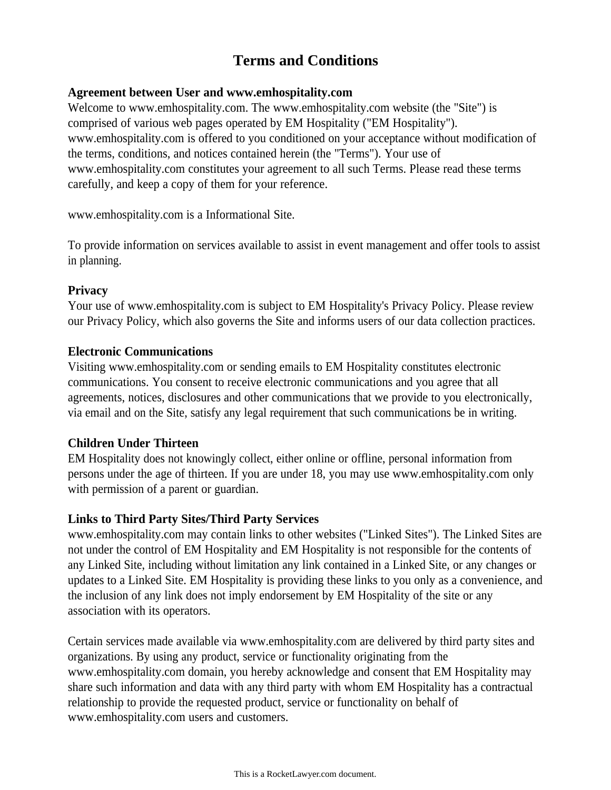# **Terms and Conditions**

#### **Agreement between User and www.emhospitality.com**

Welcome to www.emhospitality.com. The www.emhospitality.com website (the "Site") is comprised of various web pages operated by EM Hospitality ("EM Hospitality"). www.emhospitality.com is offered to you conditioned on your acceptance without modification of the terms, conditions, and notices contained herein (the "Terms"). Your use of www.emhospitality.com constitutes your agreement to all such Terms. Please read these terms carefully, and keep a copy of them for your reference.

www.emhospitality.com is a Informational Site.

To provide information on services available to assist in event management and offer tools to assist in planning.

# **Privacy**

Your use of www.emhospitality.com is subject to EM Hospitality's Privacy Policy. Please review our Privacy Policy, which also governs the Site and informs users of our data collection practices.

#### **Electronic Communications**

Visiting www.emhospitality.com or sending emails to EM Hospitality constitutes electronic communications. You consent to receive electronic communications and you agree that all agreements, notices, disclosures and other communications that we provide to you electronically, via email and on the Site, satisfy any legal requirement that such communications be in writing.

# **Children Under Thirteen**

EM Hospitality does not knowingly collect, either online or offline, personal information from persons under the age of thirteen. If you are under 18, you may use www.emhospitality.com only with permission of a parent or guardian.

# **Links to Third Party Sites/Third Party Services**

www.emhospitality.com may contain links to other websites ("Linked Sites"). The Linked Sites are not under the control of EM Hospitality and EM Hospitality is not responsible for the contents of any Linked Site, including without limitation any link contained in a Linked Site, or any changes or updates to a Linked Site. EM Hospitality is providing these links to you only as a convenience, and the inclusion of any link does not imply endorsement by EM Hospitality of the site or any association with its operators.

Certain services made available via www.emhospitality.com are delivered by third party sites and organizations. By using any product, service or functionality originating from the www.emhospitality.com domain, you hereby acknowledge and consent that EM Hospitality may share such information and data with any third party with whom EM Hospitality has a contractual relationship to provide the requested product, service or functionality on behalf of www.emhospitality.com users and customers.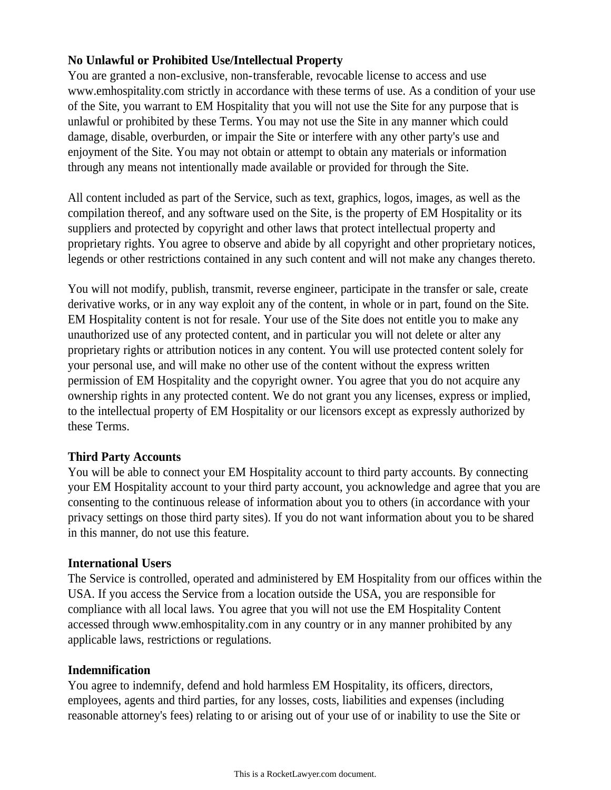# **No Unlawful or Prohibited Use/Intellectual Property**

You are granted a non-exclusive, non-transferable, revocable license to access and use www.emhospitality.com strictly in accordance with these terms of use. As a condition of your use of the Site, you warrant to EM Hospitality that you will not use the Site for any purpose that is unlawful or prohibited by these Terms. You may not use the Site in any manner which could damage, disable, overburden, or impair the Site or interfere with any other party's use and enjoyment of the Site. You may not obtain or attempt to obtain any materials or information through any means not intentionally made available or provided for through the Site.

All content included as part of the Service, such as text, graphics, logos, images, as well as the compilation thereof, and any software used on the Site, is the property of EM Hospitality or its suppliers and protected by copyright and other laws that protect intellectual property and proprietary rights. You agree to observe and abide by all copyright and other proprietary notices, legends or other restrictions contained in any such content and will not make any changes thereto.

You will not modify, publish, transmit, reverse engineer, participate in the transfer or sale, create derivative works, or in any way exploit any of the content, in whole or in part, found on the Site. EM Hospitality content is not for resale. Your use of the Site does not entitle you to make any unauthorized use of any protected content, and in particular you will not delete or alter any proprietary rights or attribution notices in any content. You will use protected content solely for your personal use, and will make no other use of the content without the express written permission of EM Hospitality and the copyright owner. You agree that you do not acquire any ownership rights in any protected content. We do not grant you any licenses, express or implied, to the intellectual property of EM Hospitality or our licensors except as expressly authorized by these Terms.

# **Third Party Accounts**

You will be able to connect your EM Hospitality account to third party accounts. By connecting your EM Hospitality account to your third party account, you acknowledge and agree that you are consenting to the continuous release of information about you to others (in accordance with your privacy settings on those third party sites). If you do not want information about you to be shared in this manner, do not use this feature.

# **International Users**

The Service is controlled, operated and administered by EM Hospitality from our offices within the USA. If you access the Service from a location outside the USA, you are responsible for compliance with all local laws. You agree that you will not use the EM Hospitality Content accessed through www.emhospitality.com in any country or in any manner prohibited by any applicable laws, restrictions or regulations.

# **Indemnification**

You agree to indemnify, defend and hold harmless EM Hospitality, its officers, directors, employees, agents and third parties, for any losses, costs, liabilities and expenses (including reasonable attorney's fees) relating to or arising out of your use of or inability to use the Site or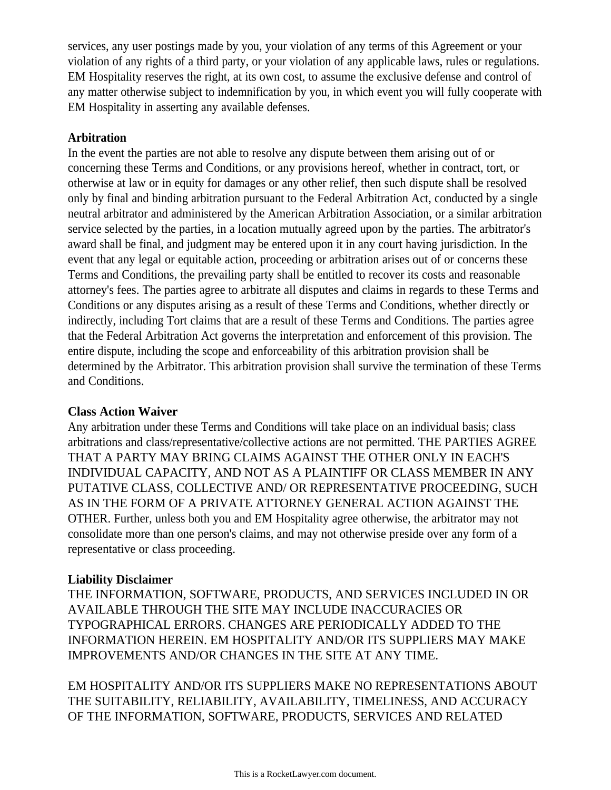services, any user postings made by you, your violation of any terms of this Agreement or your violation of any rights of a third party, or your violation of any applicable laws, rules or regulations. EM Hospitality reserves the right, at its own cost, to assume the exclusive defense and control of any matter otherwise subject to indemnification by you, in which event you will fully cooperate with EM Hospitality in asserting any available defenses.

#### **Arbitration**

In the event the parties are not able to resolve any dispute between them arising out of or concerning these Terms and Conditions, or any provisions hereof, whether in contract, tort, or otherwise at law or in equity for damages or any other relief, then such dispute shall be resolved only by final and binding arbitration pursuant to the Federal Arbitration Act, conducted by a single neutral arbitrator and administered by the American Arbitration Association, or a similar arbitration service selected by the parties, in a location mutually agreed upon by the parties. The arbitrator's award shall be final, and judgment may be entered upon it in any court having jurisdiction. In the event that any legal or equitable action, proceeding or arbitration arises out of or concerns these Terms and Conditions, the prevailing party shall be entitled to recover its costs and reasonable attorney's fees. The parties agree to arbitrate all disputes and claims in regards to these Terms and Conditions or any disputes arising as a result of these Terms and Conditions, whether directly or indirectly, including Tort claims that are a result of these Terms and Conditions. The parties agree that the Federal Arbitration Act governs the interpretation and enforcement of this provision. The entire dispute, including the scope and enforceability of this arbitration provision shall be determined by the Arbitrator. This arbitration provision shall survive the termination of these Terms and Conditions.

#### **Class Action Waiver**

Any arbitration under these Terms and Conditions will take place on an individual basis; class arbitrations and class/representative/collective actions are not permitted. THE PARTIES AGREE THAT A PARTY MAY BRING CLAIMS AGAINST THE OTHER ONLY IN EACH'S INDIVIDUAL CAPACITY, AND NOT AS A PLAINTIFF OR CLASS MEMBER IN ANY PUTATIVE CLASS, COLLECTIVE AND/ OR REPRESENTATIVE PROCEEDING, SUCH AS IN THE FORM OF A PRIVATE ATTORNEY GENERAL ACTION AGAINST THE OTHER. Further, unless both you and EM Hospitality agree otherwise, the arbitrator may not consolidate more than one person's claims, and may not otherwise preside over any form of a representative or class proceeding.

# **Liability Disclaimer**

THE INFORMATION, SOFTWARE, PRODUCTS, AND SERVICES INCLUDED IN OR AVAILABLE THROUGH THE SITE MAY INCLUDE INACCURACIES OR TYPOGRAPHICAL ERRORS. CHANGES ARE PERIODICALLY ADDED TO THE INFORMATION HEREIN. EM HOSPITALITY AND/OR ITS SUPPLIERS MAY MAKE IMPROVEMENTS AND/OR CHANGES IN THE SITE AT ANY TIME.

EM HOSPITALITY AND/OR ITS SUPPLIERS MAKE NO REPRESENTATIONS ABOUT THE SUITABILITY, RELIABILITY, AVAILABILITY, TIMELINESS, AND ACCURACY OF THE INFORMATION, SOFTWARE, PRODUCTS, SERVICES AND RELATED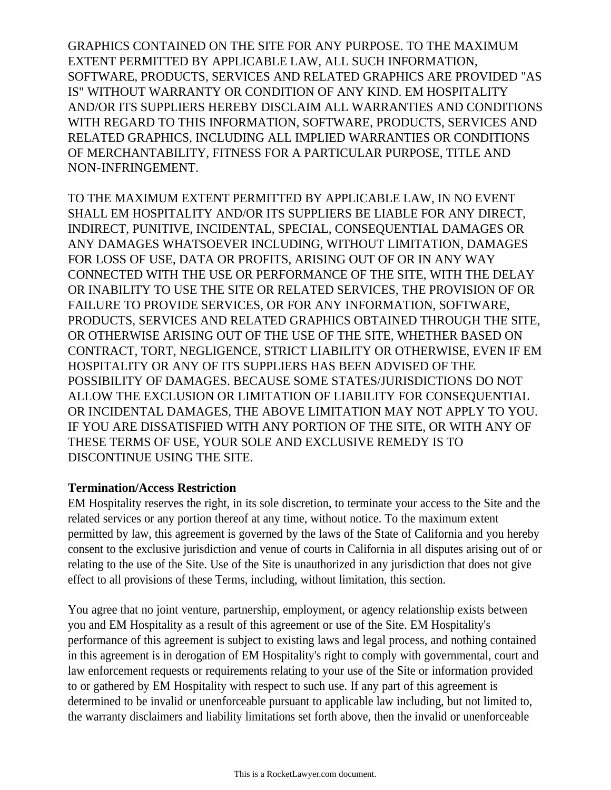GRAPHICS CONTAINED ON THE SITE FOR ANY PURPOSE. TO THE MAXIMUM EXTENT PERMITTED BY APPLICABLE LAW, ALL SUCH INFORMATION, SOFTWARE, PRODUCTS, SERVICES AND RELATED GRAPHICS ARE PROVIDED "AS IS" WITHOUT WARRANTY OR CONDITION OF ANY KIND. EM HOSPITALITY AND/OR ITS SUPPLIERS HEREBY DISCLAIM ALL WARRANTIES AND CONDITIONS WITH REGARD TO THIS INFORMATION, SOFTWARE, PRODUCTS, SERVICES AND RELATED GRAPHICS, INCLUDING ALL IMPLIED WARRANTIES OR CONDITIONS OF MERCHANTABILITY, FITNESS FOR A PARTICULAR PURPOSE, TITLE AND NON-INFRINGEMENT.

TO THE MAXIMUM EXTENT PERMITTED BY APPLICABLE LAW, IN NO EVENT SHALL EM HOSPITALITY AND/OR ITS SUPPLIERS BE LIABLE FOR ANY DIRECT, INDIRECT, PUNITIVE, INCIDENTAL, SPECIAL, CONSEQUENTIAL DAMAGES OR ANY DAMAGES WHATSOEVER INCLUDING, WITHOUT LIMITATION, DAMAGES FOR LOSS OF USE, DATA OR PROFITS, ARISING OUT OF OR IN ANY WAY CONNECTED WITH THE USE OR PERFORMANCE OF THE SITE, WITH THE DELAY OR INABILITY TO USE THE SITE OR RELATED SERVICES, THE PROVISION OF OR FAILURE TO PROVIDE SERVICES, OR FOR ANY INFORMATION, SOFTWARE, PRODUCTS, SERVICES AND RELATED GRAPHICS OBTAINED THROUGH THE SITE, OR OTHERWISE ARISING OUT OF THE USE OF THE SITE, WHETHER BASED ON CONTRACT, TORT, NEGLIGENCE, STRICT LIABILITY OR OTHERWISE, EVEN IF EM HOSPITALITY OR ANY OF ITS SUPPLIERS HAS BEEN ADVISED OF THE POSSIBILITY OF DAMAGES. BECAUSE SOME STATES/JURISDICTIONS DO NOT ALLOW THE EXCLUSION OR LIMITATION OF LIABILITY FOR CONSEQUENTIAL OR INCIDENTAL DAMAGES, THE ABOVE LIMITATION MAY NOT APPLY TO YOU. IF YOU ARE DISSATISFIED WITH ANY PORTION OF THE SITE, OR WITH ANY OF THESE TERMS OF USE, YOUR SOLE AND EXCLUSIVE REMEDY IS TO DISCONTINUE USING THE SITE.

#### **Termination/Access Restriction**

EM Hospitality reserves the right, in its sole discretion, to terminate your access to the Site and the related services or any portion thereof at any time, without notice. To the maximum extent permitted by law, this agreement is governed by the laws of the State of California and you hereby consent to the exclusive jurisdiction and venue of courts in California in all disputes arising out of or relating to the use of the Site. Use of the Site is unauthorized in any jurisdiction that does not give effect to all provisions of these Terms, including, without limitation, this section.

You agree that no joint venture, partnership, employment, or agency relationship exists between you and EM Hospitality as a result of this agreement or use of the Site. EM Hospitality's performance of this agreement is subject to existing laws and legal process, and nothing contained in this agreement is in derogation of EM Hospitality's right to comply with governmental, court and law enforcement requests or requirements relating to your use of the Site or information provided to or gathered by EM Hospitality with respect to such use. If any part of this agreement is determined to be invalid or unenforceable pursuant to applicable law including, but not limited to, the warranty disclaimers and liability limitations set forth above, then the invalid or unenforceable